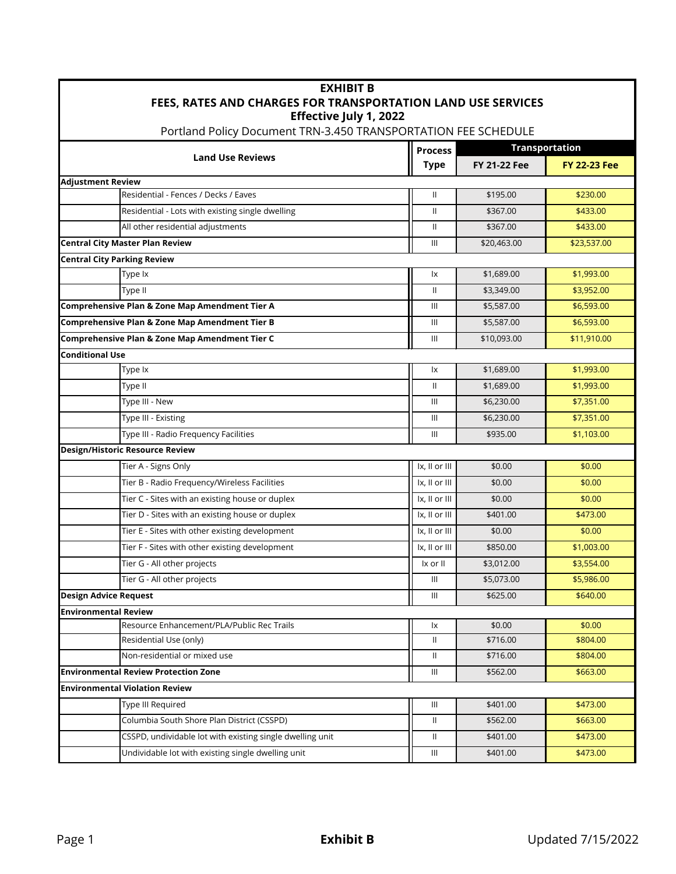| <b>EXHIBIT B</b>                                                                         |                                    |                       |                     |  |  |  |  |
|------------------------------------------------------------------------------------------|------------------------------------|-----------------------|---------------------|--|--|--|--|
| FEES, RATES AND CHARGES FOR TRANSPORTATION LAND USE SERVICES                             |                                    |                       |                     |  |  |  |  |
| Effective July 1, 2022<br>Portland Policy Document TRN-3.450 TRANSPORTATION FEE SCHEDULE |                                    |                       |                     |  |  |  |  |
|                                                                                          |                                    | <b>Transportation</b> |                     |  |  |  |  |
| <b>Land Use Reviews</b>                                                                  | <b>Process</b><br><b>Type</b>      | <b>FY 21-22 Fee</b>   | <b>FY 22-23 Fee</b> |  |  |  |  |
| <b>Adjustment Review</b>                                                                 |                                    |                       |                     |  |  |  |  |
| Residential - Fences / Decks / Eaves                                                     | $\mathbf{I}$                       | \$195.00              | \$230.00            |  |  |  |  |
| Residential - Lots with existing single dwelling                                         | $\mathbf{H}$                       | \$367.00              | \$433.00            |  |  |  |  |
| All other residential adjustments                                                        | $\mathbf{H}$                       | \$367.00              | \$433.00            |  |  |  |  |
| <b>Central City Master Plan Review</b>                                                   | $\mathbf{III}$                     | \$20,463.00           | \$23,537.00         |  |  |  |  |
| <b>Central City Parking Review</b>                                                       |                                    |                       |                     |  |  |  |  |
| Type Ix                                                                                  | Ιx                                 | \$1,689.00            | \$1,993.00          |  |  |  |  |
| Type II                                                                                  | $\mathbf{H}$                       | \$3,349.00            | \$3,952.00          |  |  |  |  |
| Comprehensive Plan & Zone Map Amendment Tier A                                           | $\mathbf{III}$                     | \$5,587.00            | \$6,593.00          |  |  |  |  |
| Comprehensive Plan & Zone Map Amendment Tier B                                           | $\  \ $                            | \$5,587.00            | \$6,593.00          |  |  |  |  |
| Comprehensive Plan & Zone Map Amendment Tier C                                           | $\mathbf{III}$                     | \$10,093.00           | \$11,910.00         |  |  |  |  |
| <b>Conditional Use</b>                                                                   |                                    |                       |                     |  |  |  |  |
| Type Ix                                                                                  | Ιx                                 | \$1,689.00            | \$1,993.00          |  |  |  |  |
| Type II                                                                                  | $\mathbf{H}$                       | \$1,689.00            | \$1,993.00          |  |  |  |  |
| Type III - New                                                                           | $\mathbf{III}$                     | \$6,230.00            | \$7,351.00          |  |  |  |  |
| Type III - Existing                                                                      | $\  \ $                            | \$6,230.00            | \$7,351.00          |  |  |  |  |
| Type III - Radio Frequency Facilities                                                    | $\mathbf{III}$                     | \$935.00              | \$1,103.00          |  |  |  |  |
| <b>Design/Historic Resource Review</b>                                                   |                                    |                       |                     |  |  |  |  |
| Tier A - Signs Only                                                                      | Ix, II or III                      | \$0.00                | \$0.00              |  |  |  |  |
| Tier B - Radio Frequency/Wireless Facilities                                             | Ix, II or III                      | \$0.00                | \$0.00              |  |  |  |  |
| Tier C - Sites with an existing house or duplex                                          | Ix, II or III                      | \$0.00                | \$0.00              |  |  |  |  |
| Tier D - Sites with an existing house or duplex                                          | Ix, II or III                      | \$401.00              | \$473.00            |  |  |  |  |
| Tier E - Sites with other existing development                                           | Ix, II or III                      | \$0.00                | \$0.00              |  |  |  |  |
| Tier F - Sites with other existing development                                           | Ix, II or III                      | \$850.00              | \$1,003.00          |  |  |  |  |
| Tier G - All other projects                                                              | Ix or II                           | \$3,012.00            | \$3,554.00          |  |  |  |  |
| Tier G - All other projects                                                              | $\mathbf{III}$                     | \$5,073.00            | \$5,986.00          |  |  |  |  |
| <b>Design Advice Request</b>                                                             | $\mathbf{III}$                     | \$625.00              | \$640.00            |  |  |  |  |
| <b>Environmental Review</b>                                                              |                                    |                       |                     |  |  |  |  |
| Resource Enhancement/PLA/Public Rec Trails                                               | Ιx                                 | \$0.00                | \$0.00              |  |  |  |  |
| Residential Use (only)                                                                   | $\mathbf{H}$                       | \$716.00              | \$804.00            |  |  |  |  |
| Non-residential or mixed use                                                             | Ш                                  | \$716.00              | \$804.00            |  |  |  |  |
| <b>Environmental Review Protection Zone</b>                                              | $\  \ $                            | \$562.00              | \$663.00            |  |  |  |  |
| <b>Environmental Violation Review</b>                                                    |                                    |                       |                     |  |  |  |  |
| Type III Required                                                                        | $\ensuremath{\mathsf{III}}\xspace$ | \$401.00              | \$473.00            |  |  |  |  |
| Columbia South Shore Plan District (CSSPD)                                               | $\mathbf{H}$                       | \$562.00              | \$663.00            |  |  |  |  |
| CSSPD, undividable lot with existing single dwelling unit                                | Ш                                  | \$401.00              | \$473.00            |  |  |  |  |
| Undividable lot with existing single dwelling unit                                       | $\ensuremath{\mathsf{III}}\xspace$ | \$401.00              | \$473.00            |  |  |  |  |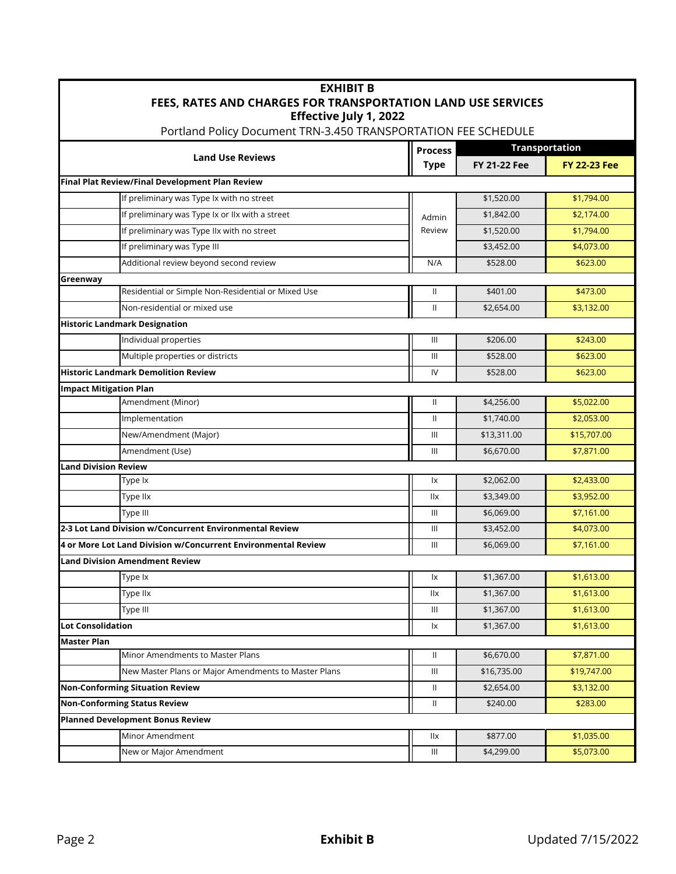| <b>EXHIBIT B</b><br><b>FEES, RATES AND CHARGES FOR TRANSPORTATION LAND USE SERVICES</b><br>Effective July 1, 2022<br>Portland Policy Document TRN-3.450 TRANSPORTATION FEE SCHEDULE |                                                               |                                    |                     |             |  |  |
|-------------------------------------------------------------------------------------------------------------------------------------------------------------------------------------|---------------------------------------------------------------|------------------------------------|---------------------|-------------|--|--|
|                                                                                                                                                                                     |                                                               |                                    |                     |             |  |  |
| <b>Land Use Reviews</b>                                                                                                                                                             | <b>Type</b>                                                   | <b>FY 21-22 Fee</b>                | <b>FY 22-23 Fee</b> |             |  |  |
|                                                                                                                                                                                     | Final Plat Review/Final Development Plan Review               |                                    |                     |             |  |  |
|                                                                                                                                                                                     | If preliminary was Type Ix with no street                     |                                    | \$1,520.00          | \$1,794.00  |  |  |
|                                                                                                                                                                                     | If preliminary was Type Ix or IIx with a street               | Admin                              | \$1,842.00          | \$2,174.00  |  |  |
|                                                                                                                                                                                     | If preliminary was Type IIx with no street                    | Review                             | \$1,520.00          | \$1,794.00  |  |  |
|                                                                                                                                                                                     | If preliminary was Type III                                   |                                    | \$3,452.00          | \$4,073.00  |  |  |
|                                                                                                                                                                                     | Additional review beyond second review                        | N/A                                | \$528.00            | \$623.00    |  |  |
| Greenway                                                                                                                                                                            |                                                               |                                    |                     |             |  |  |
|                                                                                                                                                                                     | Residential or Simple Non-Residential or Mixed Use            | $\mathbf{I}$                       | \$401.00            | \$473.00    |  |  |
|                                                                                                                                                                                     | Non-residential or mixed use                                  | $\mathbf{H}$                       | \$2,654.00          | \$3,132.00  |  |  |
|                                                                                                                                                                                     | <b>Historic Landmark Designation</b>                          |                                    |                     |             |  |  |
|                                                                                                                                                                                     | Individual properties                                         | $\  \ $                            | \$206.00            | \$243.00    |  |  |
|                                                                                                                                                                                     | Multiple properties or districts                              | $\mathbf{III}$                     | \$528.00            | \$623.00    |  |  |
|                                                                                                                                                                                     | <b>Historic Landmark Demolition Review</b>                    | IV                                 | \$528.00            | \$623.00    |  |  |
| <b>Impact Mitigation Plan</b>                                                                                                                                                       |                                                               |                                    |                     |             |  |  |
|                                                                                                                                                                                     | Amendment (Minor)                                             | $\mathbf{H}$                       | \$4,256.00          | \$5,022.00  |  |  |
|                                                                                                                                                                                     | Implementation                                                | $\mathbf{H}$                       | \$1,740.00          | \$2,053.00  |  |  |
|                                                                                                                                                                                     | New/Amendment (Major)                                         | $\mathbf{III}$                     | \$13,311.00         | \$15,707.00 |  |  |
|                                                                                                                                                                                     | Amendment (Use)                                               | $\  \ $                            | \$6,670.00          | \$7,871.00  |  |  |
| <b>Land Division Review</b>                                                                                                                                                         |                                                               |                                    |                     |             |  |  |
|                                                                                                                                                                                     | Type Ix                                                       | Ιx                                 | \$2,062.00          | \$2,433.00  |  |  |
|                                                                                                                                                                                     | Type IIx                                                      | llx                                | \$3,349.00          | \$3,952.00  |  |  |
|                                                                                                                                                                                     | Type III                                                      | $\  \ $                            | \$6,069.00          | \$7,161.00  |  |  |
|                                                                                                                                                                                     | 2-3 Lot Land Division w/Concurrent Environmental Review       | $\mathbf{III}$                     | \$3,452.00          | \$4,073.00  |  |  |
|                                                                                                                                                                                     | 4 or More Lot Land Division w/Concurrent Environmental Review | $\  \ $                            | \$6,069.00          | \$7,161.00  |  |  |
|                                                                                                                                                                                     | <b>Land Division Amendment Review</b>                         |                                    |                     |             |  |  |
|                                                                                                                                                                                     | Type Ix                                                       | Ιx                                 | \$1,367.00          | \$1,613.00  |  |  |
|                                                                                                                                                                                     | Type llx                                                      | llx                                | \$1,367.00          | \$1,613.00  |  |  |
|                                                                                                                                                                                     | Type III                                                      | Ш                                  | \$1,367.00          | \$1,613.00  |  |  |
| <b>Lot Consolidation</b>                                                                                                                                                            |                                                               | lx                                 | \$1,367.00          | \$1,613.00  |  |  |
| <b>Master Plan</b>                                                                                                                                                                  |                                                               |                                    |                     |             |  |  |
|                                                                                                                                                                                     | Minor Amendments to Master Plans                              | Ш                                  | \$6,670.00          | \$7,871.00  |  |  |
|                                                                                                                                                                                     | New Master Plans or Major Amendments to Master Plans          | $\mathbf{III}$                     | \$16,735.00         | \$19,747.00 |  |  |
| <b>Non-Conforming Situation Review</b>                                                                                                                                              |                                                               | Ш                                  | \$2,654.00          | \$3,132.00  |  |  |
| <b>Non-Conforming Status Review</b>                                                                                                                                                 |                                                               | $\rm{II}$                          | \$240.00            | \$283.00    |  |  |
| <b>Planned Development Bonus Review</b>                                                                                                                                             |                                                               |                                    |                     |             |  |  |
|                                                                                                                                                                                     | Minor Amendment                                               | llx                                | \$877.00            | \$1,035.00  |  |  |
|                                                                                                                                                                                     | New or Major Amendment                                        | $\ensuremath{\mathsf{III}}\xspace$ | \$4,299.00          | \$5,073.00  |  |  |